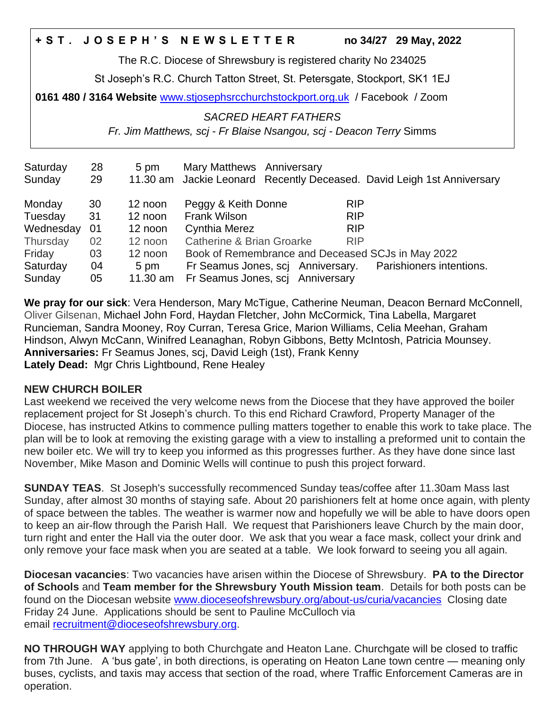## **+ S T . J O S E P H ' S N E W S L E T T E R no 34/27 29 May, 2022**

The R.C. Diocese of Shrewsbury is registered charity No 234025

St Joseph's R.C. Church Tatton Street, St. Petersgate, Stockport, SK1 1EJ

**0161 480 / 3164 Website** [www.stjosephsrcchurchstockport.org.uk](http://www.stjosephsrcchurchstockport.org.uk/) / Facebook / Zoom

*SACRED HEART FATHERS*

*Fr. Jim Matthews, scj - Fr Blaise Nsangou, scj - Deacon Terry* Simms

| Saturday<br>Sunday | 28<br>29 | 5 pm     | Mary Matthews Anniversary<br>11.30 am Jackie Leonard Recently Deceased. David Leigh 1st Anniversary |
|--------------------|----------|----------|-----------------------------------------------------------------------------------------------------|
| Monday             | 30       | 12 noon  | Peggy & Keith Donne<br><b>RIP</b>                                                                   |
| Tuesday            | 31       | 12 noon  | <b>Frank Wilson</b><br><b>RIP</b>                                                                   |
| Wednesday          | 01       | 12 noon  | <b>Cynthia Merez</b><br><b>RIP</b>                                                                  |
| Thursday           | 02       | 12 noon  | Catherine & Brian Groarke<br><b>RIP</b>                                                             |
| Friday             | 03       | 12 noon  | Book of Remembrance and Deceased SCJs in May 2022                                                   |
| Saturday           | 04       | 5 pm     | Parishioners intentions.<br>Fr Seamus Jones, sci Anniversary.                                       |
| Sunday             | 05       | 11.30 am | Fr Seamus Jones, scj Anniversary                                                                    |

**We pray for our sick**: Vera Henderson, Mary McTigue, Catherine Neuman, Deacon Bernard McConnell, Oliver Gilsenan, Michael John Ford, Haydan Fletcher, John McCormick, Tina Labella, Margaret Runcieman, Sandra Mooney, Roy Curran, Teresa Grice, Marion Williams, Celia Meehan, Graham Hindson, Alwyn McCann, Winifred Leanaghan, Robyn Gibbons, Betty McIntosh, Patricia Mounsey. **Anniversaries:** Fr Seamus Jones, scj, David Leigh (1st), Frank Kenny **Lately Dead:** Mgr Chris Lightbound, Rene Healey

## **NEW CHURCH BOILER**

Last weekend we received the very welcome news from the Diocese that they have approved the boiler replacement project for St Joseph's church. To this end Richard Crawford, Property Manager of the Diocese, has instructed Atkins to commence pulling matters together to enable this work to take place. The plan will be to look at removing the existing garage with a view to installing a preformed unit to contain the new boiler etc. We will try to keep you informed as this progresses further. As they have done since last November, Mike Mason and Dominic Wells will continue to push this project forward.

**SUNDAY TEAS**. St Joseph's successfully recommenced Sunday teas/coffee after 11.30am Mass last Sunday, after almost 30 months of staying safe. About 20 parishioners felt at home once again, with plenty of space between the tables. The weather is warmer now and hopefully we will be able to have doors open to keep an air-flow through the Parish Hall. We request that Parishioners leave Church by the main door, turn right and enter the Hall via the outer door. We ask that you wear a face mask, collect your drink and only remove your face mask when you are seated at a table. We look forward to seeing you all again.

**Diocesan vacancies**: Two vacancies have arisen within the Diocese of Shrewsbury. **PA to the Director of Schools** and **Team member for the Shrewsbury Youth Mission team**. Details for both posts can be found on the Diocesan website [www.dioceseofshrewsbury.org/about-us/curia/vacancies](http://www.dioceseofshrewsbury.org/about-us/curia/vacancies) Closing date Friday 24 June. Applications should be sent to Pauline McCulloch via email [recruitment@dioceseofshrewsbury.org.](mailto:recruitment@dioceseofshrewsbury.org)

**NO THROUGH WAY** applying to both Churchgate and Heaton Lane. Churchgate will be closed to traffic from 7th June. A 'bus gate', in both directions, is operating on Heaton Lane town centre — meaning only buses, cyclists, and taxis may access that section of the road, where Traffic Enforcement Cameras are in operation.